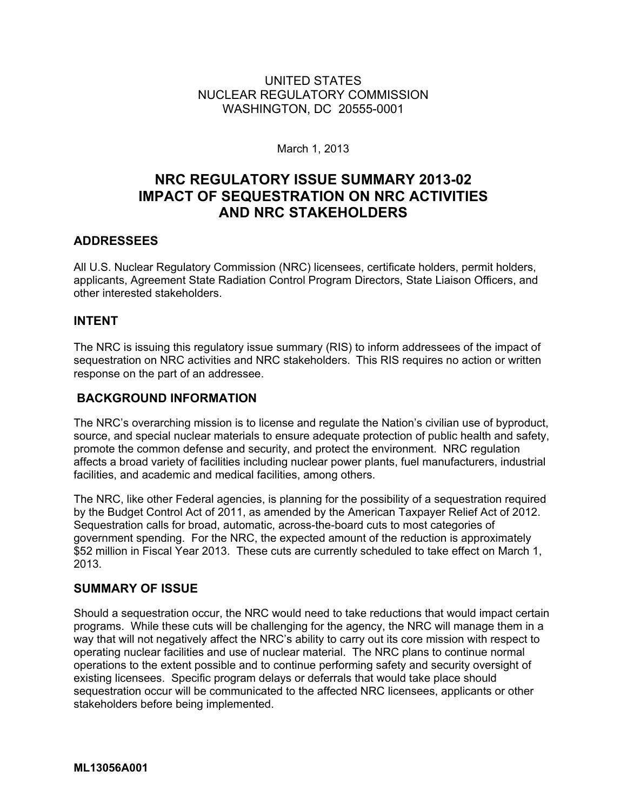# UNITED STATES NUCLEAR REGULATORY COMMISSION WASHINGTON, DC 20555-0001

March 1, 2013

# **NRC REGULATORY ISSUE SUMMARY 2013-02 IMPACT OF SEQUESTRATION ON NRC ACTIVITIES AND NRC STAKEHOLDERS**

# **ADDRESSEES**

All U.S. Nuclear Regulatory Commission (NRC) licensees, certificate holders, permit holders, applicants, Agreement State Radiation Control Program Directors, State Liaison Officers, and other interested stakeholders.

#### **INTENT**

The NRC is issuing this regulatory issue summary (RIS) to inform addressees of the impact of sequestration on NRC activities and NRC stakeholders. This RIS requires no action or written response on the part of an addressee.

### **BACKGROUND INFORMATION**

The NRC's overarching mission is to license and regulate the Nation's civilian use of byproduct, source, and special nuclear materials to ensure adequate protection of public health and safety, promote the common defense and security, and protect the environment. NRC regulation affects a broad variety of facilities including nuclear power plants, fuel manufacturers, industrial facilities, and academic and medical facilities, among others.

The NRC, like other Federal agencies, is planning for the possibility of a sequestration required by the Budget Control Act of 2011, as amended by the American Taxpayer Relief Act of 2012. Sequestration calls for broad, automatic, across-the-board cuts to most categories of government spending. For the NRC, the expected amount of the reduction is approximately \$52 million in Fiscal Year 2013. These cuts are currently scheduled to take effect on March 1, 2013.

#### **SUMMARY OF ISSUE**

Should a sequestration occur, the NRC would need to take reductions that would impact certain programs. While these cuts will be challenging for the agency, the NRC will manage them in a way that will not negatively affect the NRC's ability to carry out its core mission with respect to operating nuclear facilities and use of nuclear material. The NRC plans to continue normal operations to the extent possible and to continue performing safety and security oversight of existing licensees. Specific program delays or deferrals that would take place should sequestration occur will be communicated to the affected NRC licensees, applicants or other stakeholders before being implemented.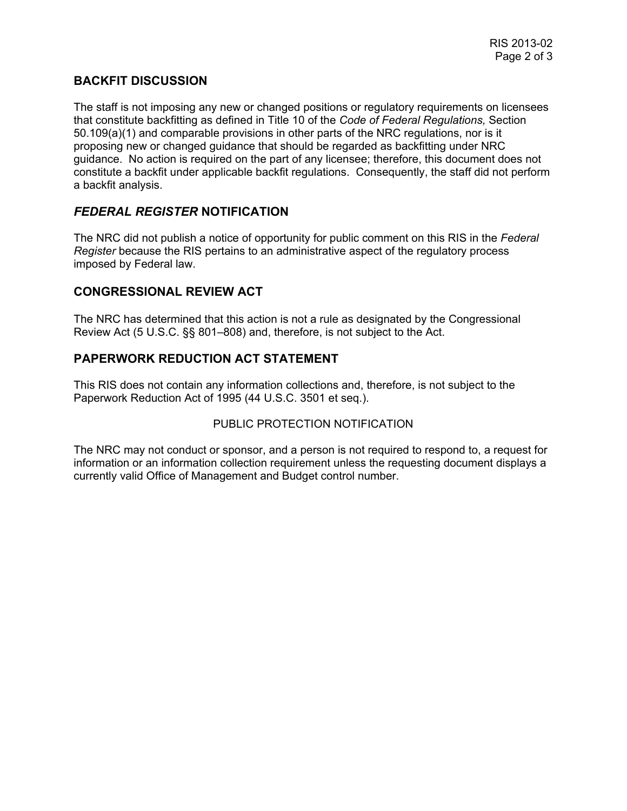### **BACKFIT DISCUSSION**

The staff is not imposing any new or changed positions or regulatory requirements on licensees that constitute backfitting as defined in Title 10 of the *Code of Federal Regulations,* Section 50.109(a)(1) and comparable provisions in other parts of the NRC regulations, nor is it proposing new or changed guidance that should be regarded as backfitting under NRC guidance. No action is required on the part of any licensee; therefore, this document does not constitute a backfit under applicable backfit regulations. Consequently, the staff did not perform a backfit analysis.

# *FEDERAL REGISTER* **NOTIFICATION**

The NRC did not publish a notice of opportunity for public comment on this RIS in the *Federal Register* because the RIS pertains to an administrative aspect of the regulatory process imposed by Federal law.

### **CONGRESSIONAL REVIEW ACT**

The NRC has determined that this action is not a rule as designated by the Congressional Review Act (5 U.S.C. §§ 801–808) and, therefore, is not subject to the Act.

### **PAPERWORK REDUCTION ACT STATEMENT**

This RIS does not contain any information collections and, therefore, is not subject to the Paperwork Reduction Act of 1995 (44 U.S.C. 3501 et seq.).

#### PUBLIC PROTECTION NOTIFICATION

The NRC may not conduct or sponsor, and a person is not required to respond to, a request for information or an information collection requirement unless the requesting document displays a currently valid Office of Management and Budget control number.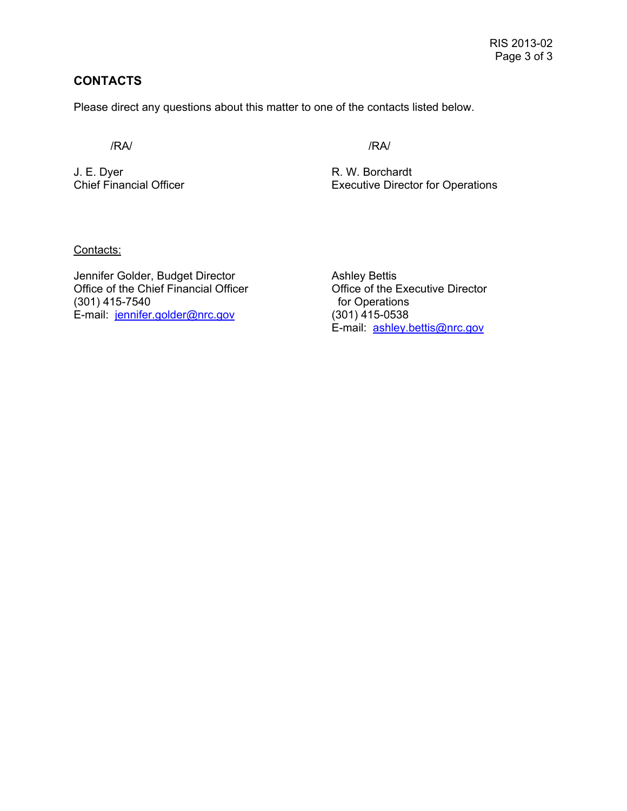# **CONTACTS**

Please direct any questions about this matter to one of the contacts listed below.

/RA/ /RA/

J. E. Dyer R. W. Borchardt

Chief Financial Officer **Executive Director for Operations** 

Contacts:

Jennifer Golder, Budget Director<br>
Office of the Chief Financial Officer

Colonical Office of the Executive Director Office of the Chief Financial Officer (301) 415-7540 **for Operations** E-mail: jennifer.golder@nrc.gov (301) 415-0538

E-mail: ashley.bettis@nrc.gov